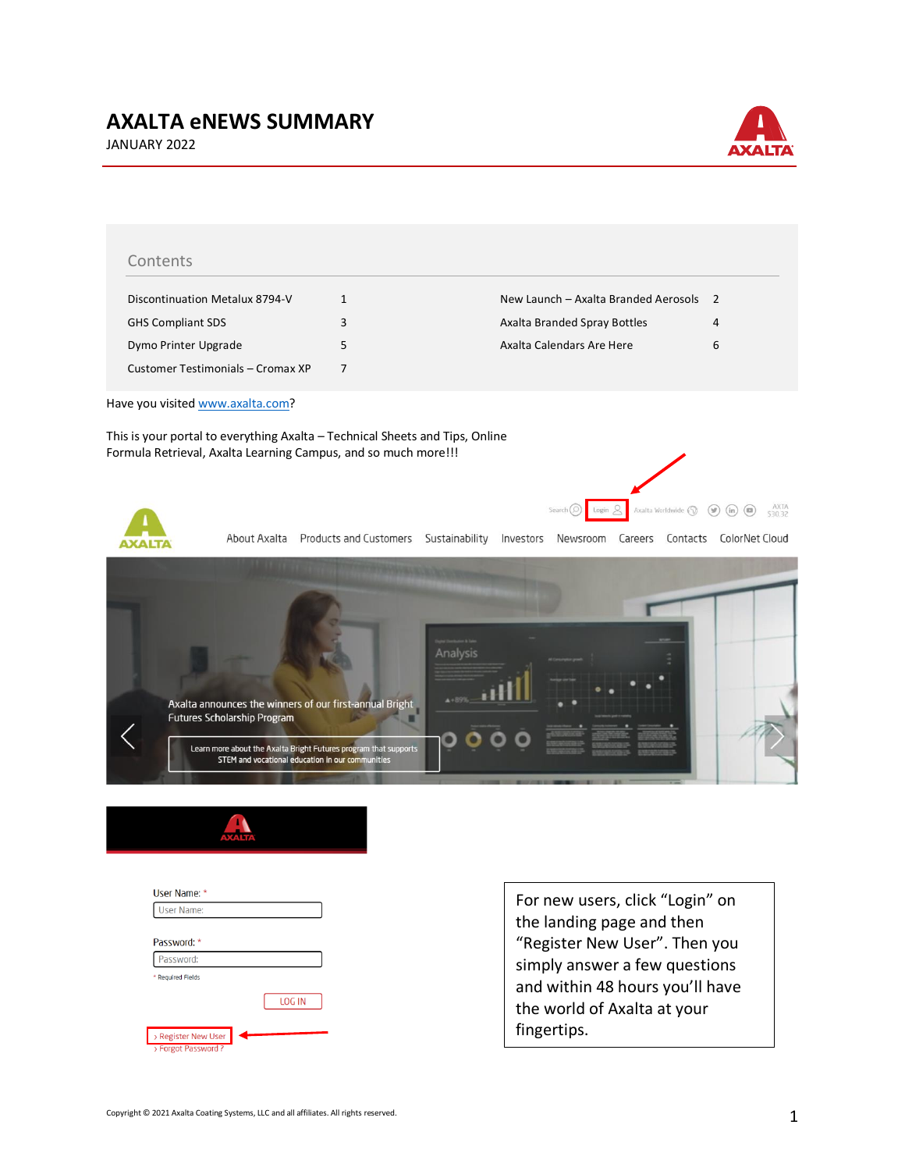## **AXALTA eNEWS SUMMARY**





| Discontinuation Metalux 8794-V                                               | $\mathbf{1}$ | New Launch – Axalta Branded Aerosols | $\overline{2}$ |
|------------------------------------------------------------------------------|--------------|--------------------------------------|----------------|
| <b>GHS Compliant SDS</b>                                                     | 3            | Axalta Branded Spray Bottles         | 4              |
| Dymo Printer Upgrade                                                         | 5            | Axalta Calendars Are Here            | 6              |
| Customer Testimonials - Cromax XP                                            | 7            |                                      |                |
| Have you visited www.axalta.com?                                             |              |                                      |                |
| This is your portal to everything Axalta – Technical Sheets and Tips, Online |              |                                      |                |



About Axalta Products and Customers Sustainability Investors Newsroom Careers Contacts ColorNet Cloud





| User Name: *        |        |
|---------------------|--------|
| User Name:          |        |
|                     |        |
| Password: *         |        |
| Password:           |        |
| * Required Fields   |        |
|                     | LOG IN |
| > Register New User |        |
| > Forgot Password?  |        |

For new users, click "Login" on the landing page and then "Register New User". Then you simply answer a few questions and within 48 hours you'll have the world of Axalta at your fingertips.

Search  $\odot$  Login  $\odot$  Axalta Worldwide  $\odot$   $\odot$   $\odot$   $\odot$   $\odot$   $\odot$   $\circ$  AXTA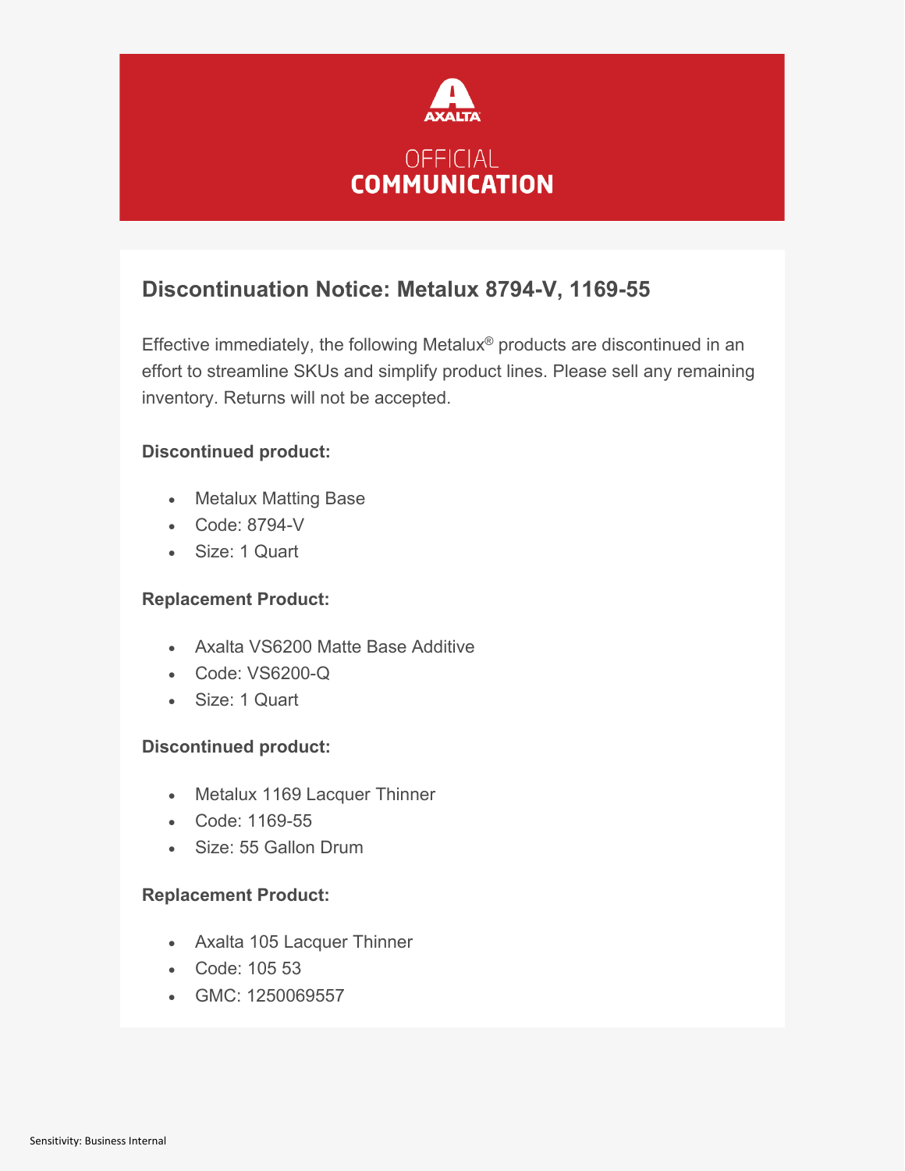

## **Discontinuation Notice: Metalux 8794-V, 1169-55**

Effective immediately, the following Metalux® products are discontinued in an effort to streamline SKUs and simplify product lines. Please sell any remaining inventory. Returns will not be accepted.

### **Discontinued product:**

- Metalux Matting Base
- Code: 8794-V
- Size: 1 Quart

#### **Replacement Product:**

- Axalta VS6200 Matte Base Additive
- Code: VS6200-Q
- Size: 1 Quart

### **Discontinued product:**

- Metalux 1169 Lacquer Thinner
- Code: 1169-55
- Size: 55 Gallon Drum

### **Replacement Product:**

- Axalta 105 Lacquer Thinner
- Code: 105 53
- GMC: 1250069557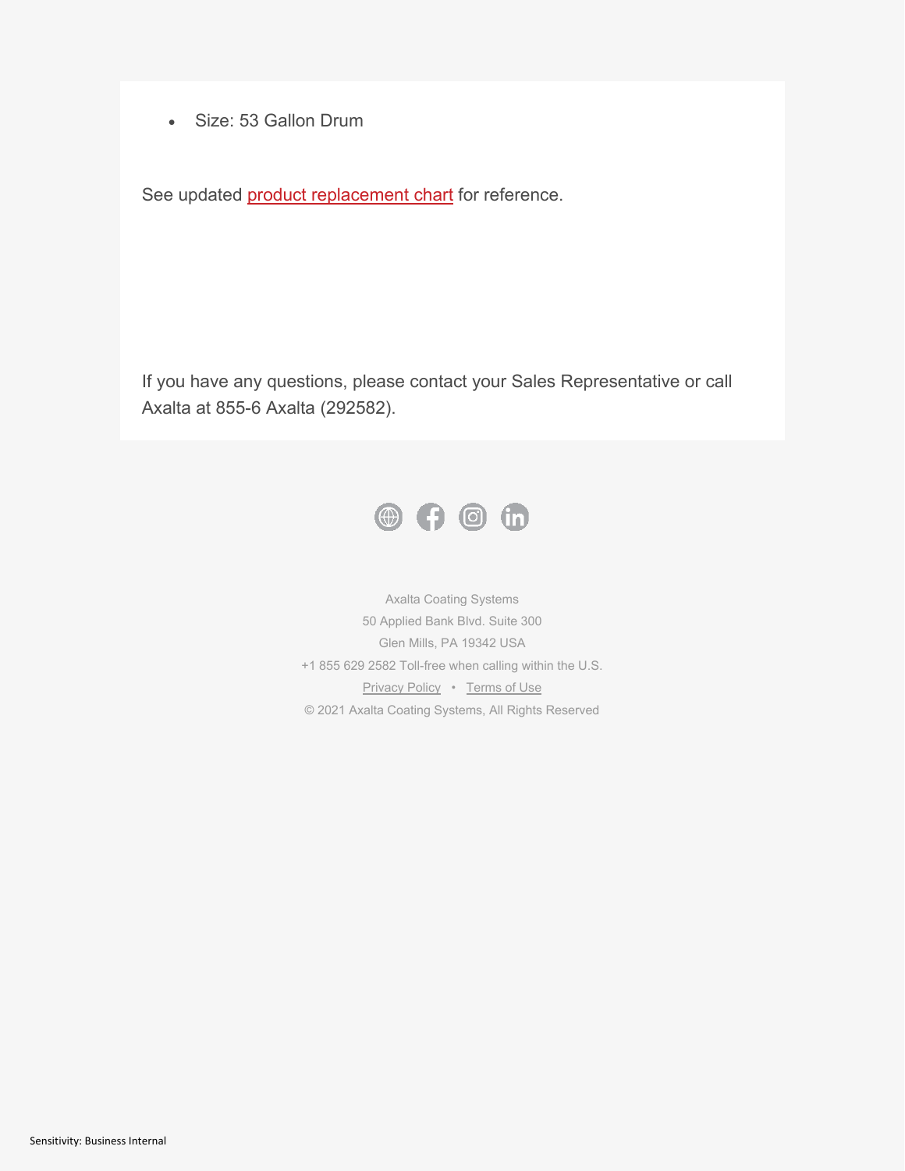• Size: 53 Gallon Drum

See updated **product replacement chart** for reference.

If you have any questions, please contact your Sales Representative or call Axalta at 855-6 Axalta (292582).



Axalta Coating Systems 50 Applied Bank Blvd. Suite 300 Glen Mills, PA 19342 USA +1 855 629 2582 Toll-free when calling within the U.S. [Privacy Policy](https://go.pardot.com/e/143041/corporate-en-US-privacy-html/9yhl1l/613530923?h=DtvgIcuV-c9Tlj21Q2eU9nw37dUAgWgOhVf7EcRFuiE) • [Terms of Use](https://go.pardot.com/e/143041/us-en-US-terms-of-use-html/9yhl1n/613530923?h=DtvgIcuV-c9Tlj21Q2eU9nw37dUAgWgOhVf7EcRFuiE) © 2021 Axalta Coating Systems, All Rights Reserved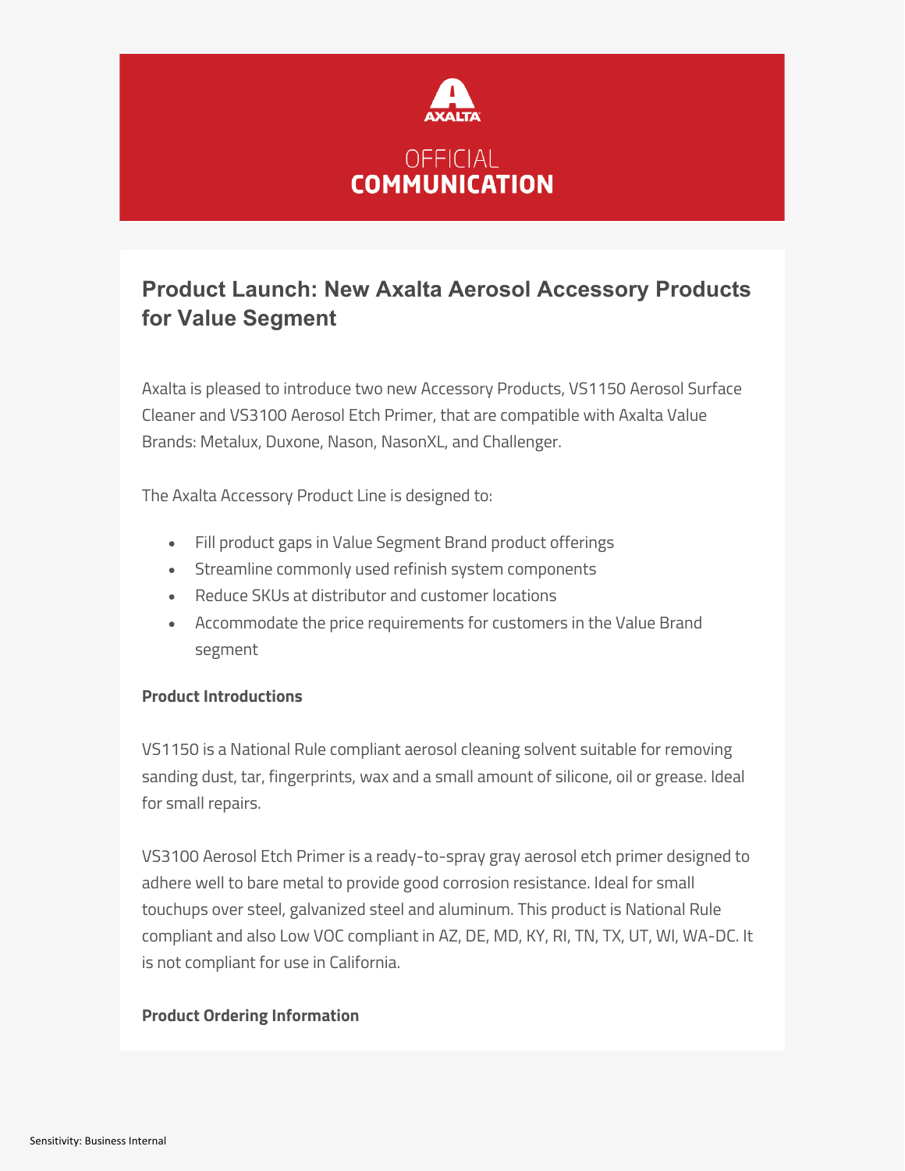

## **Product Launch: New Axalta Aerosol Accessory Products for Value Segment**

Axalta is pleased to introduce two new Accessory Products, VS1150 Aerosol Surface Cleaner and VS3100 Aerosol Etch Primer, that are compatible with Axalta Value Brands: Metalux, Duxone, Nason, NasonXL, and Challenger.

The Axalta Accessory Product Line is designed to:

- Fill product gaps in Value Segment Brand product offerings
- Streamline commonly used refinish system components
- Reduce SKUs at distributor and customer locations
- Accommodate the price requirements for customers in the Value Brand segment

### **Product Introductions**

VS1150 is a National Rule compliant aerosol cleaning solvent suitable for removing sanding dust, tar, fingerprints, wax and a small amount of silicone, oil or grease. Ideal for small repairs.

VS3100 Aerosol Etch Primer is a ready-to-spray gray aerosol etch primer designed to adhere well to bare metal to provide good corrosion resistance. Ideal for small touchups over steel, galvanized steel and aluminum. This product is National Rule compliant and also Low VOC compliant in AZ, DE, MD, KY, RI, TN, TX, UT, WI, WA-DC. It is not compliant for use in California.

### **Product Ordering Information**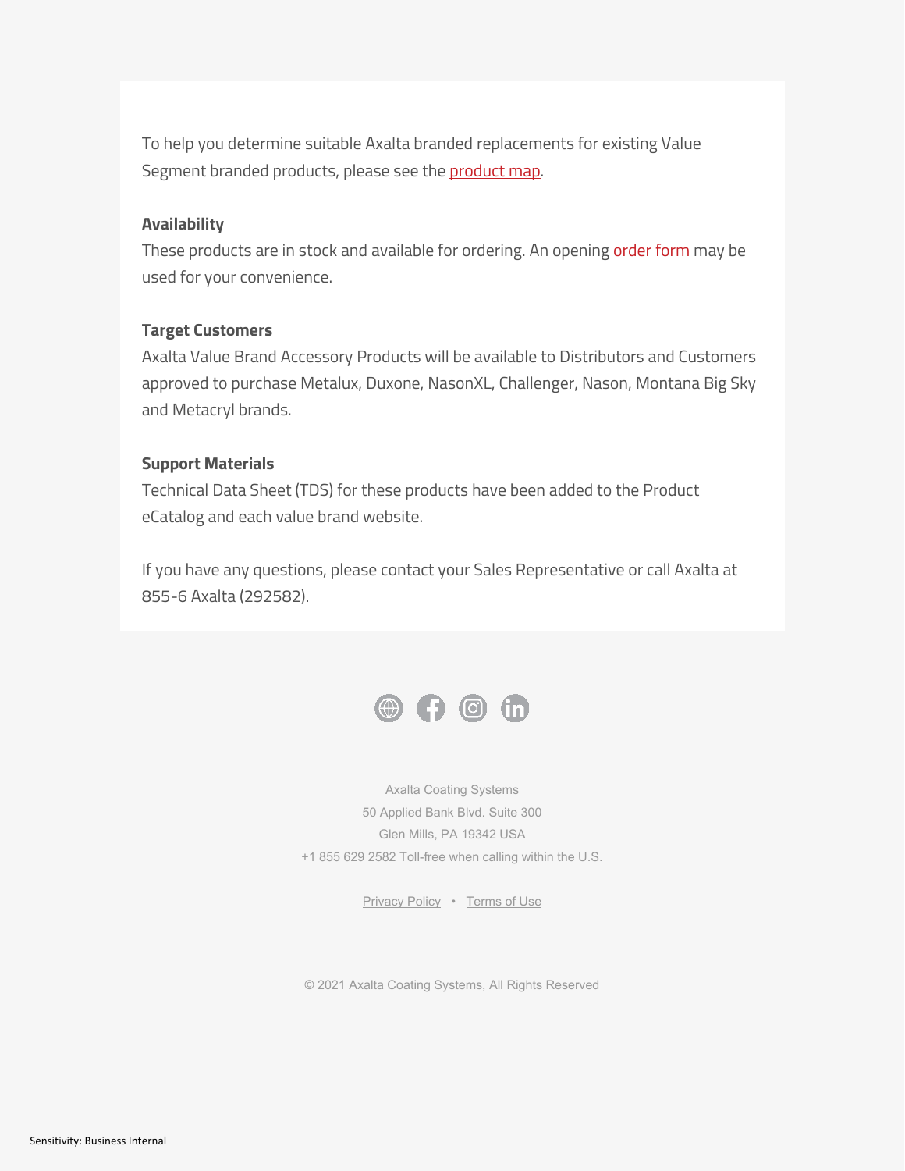To help you determine suitable Axalta branded replacements for existing Value Segment branded products, please see the [product map.](https://go.pardot.com/e/143041/ment-Accessory-Product-Map-pdf/9zlyw1/616887436?h=CINHPA7J4HiSU2_ceD28wQ13hn_GlZgY_m-pvGnhZU0)

#### **Availability**

These products are in stock and available for ordering. An opening [order form](https://go.pardot.com/e/143041/us-en-US-price-lists-html/9zlyvw/616887436?h=CINHPA7J4HiSU2_ceD28wQ13hn_GlZgY_m-pvGnhZU0) may be used for your convenience.

#### **Target Customers**

Axalta Value Brand Accessory Products will be available to Distributors and Customers approved to purchase Metalux, Duxone, NasonXL, Challenger, Nason, Montana Big Sky and Metacryl brands.

#### **Support Materials**

Technical Data Sheet (TDS) for these products have been added to the Product eCatalog and each value brand website.

If you have any questions, please contact your Sales Representative or call Axalta at 855-6 Axalta (292582).



Axalta Coating Systems 50 Applied Bank Blvd. Suite 300 Glen Mills, PA 19342 USA +1 855 629 2582 Toll-free when calling within the U.S.

[Privacy Policy](https://go.pardot.com/e/143041/corporate-en-US-privacy-html/9zlywc/616887436?h=CINHPA7J4HiSU2_ceD28wQ13hn_GlZgY_m-pvGnhZU0) • [Terms of Use](https://go.pardot.com/e/143041/us-en-US-terms-of-use-html/9zlywf/616887436?h=CINHPA7J4HiSU2_ceD28wQ13hn_GlZgY_m-pvGnhZU0)

© 2021 Axalta Coating Systems, All Rights Reserved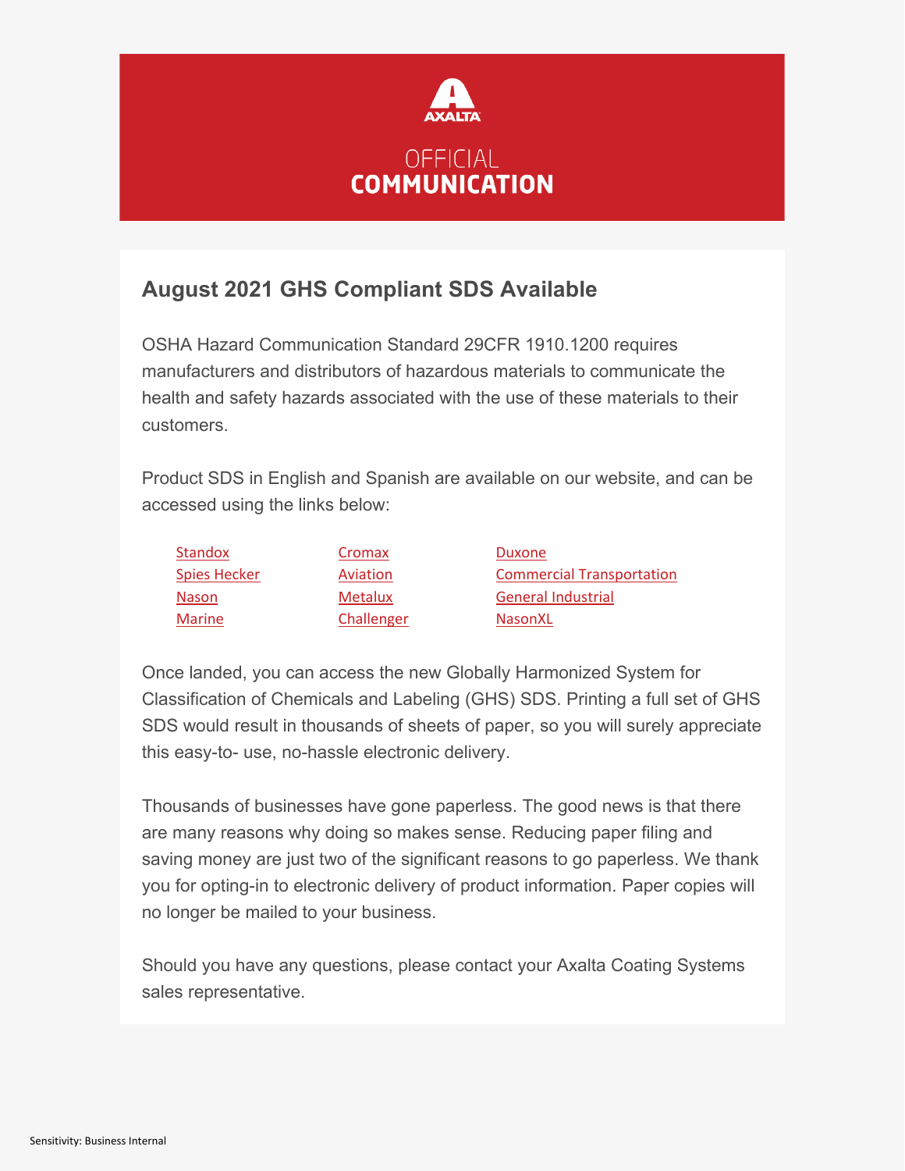

## **August 2021 GHS Compliant SDS Available**

OSHA Hazard Communication Standard 29CFR 1910.1200 requires manufacturers and distributors of hazardous materials to communicate the health and safety hazards associated with the use of these materials to their customers.

Product SDS in English and Spanish are available on our website, and can be accessed using the links below:

| <b>Standox</b>      | Cromax         | Duxone                           |
|---------------------|----------------|----------------------------------|
| <b>Spies Hecker</b> | Aviation       | <b>Commercial Transportation</b> |
| <b>Nason</b>        | <b>Metalux</b> | <b>General Industrial</b>        |
| Marine              | Challenger     | <b>NasonXL</b>                   |

Once landed, you can access the new Globally Harmonized System for Classification of Chemicals and Labeling (GHS) SDS. Printing a full set of GHS SDS would result in thousands of sheets of paper, so you will surely appreciate this easy-to- use, no-hassle electronic delivery.

Thousands of businesses have gone paperless. The good news is that there are many reasons why doing so makes sense. Reducing paper filing and saving money are just two of the significant reasons to go paperless. We thank you for opting-in to electronic delivery of product information. Paper copies will no longer be mailed to your business.

Should you have any questions, please contact your Axalta Coating Systems sales representative.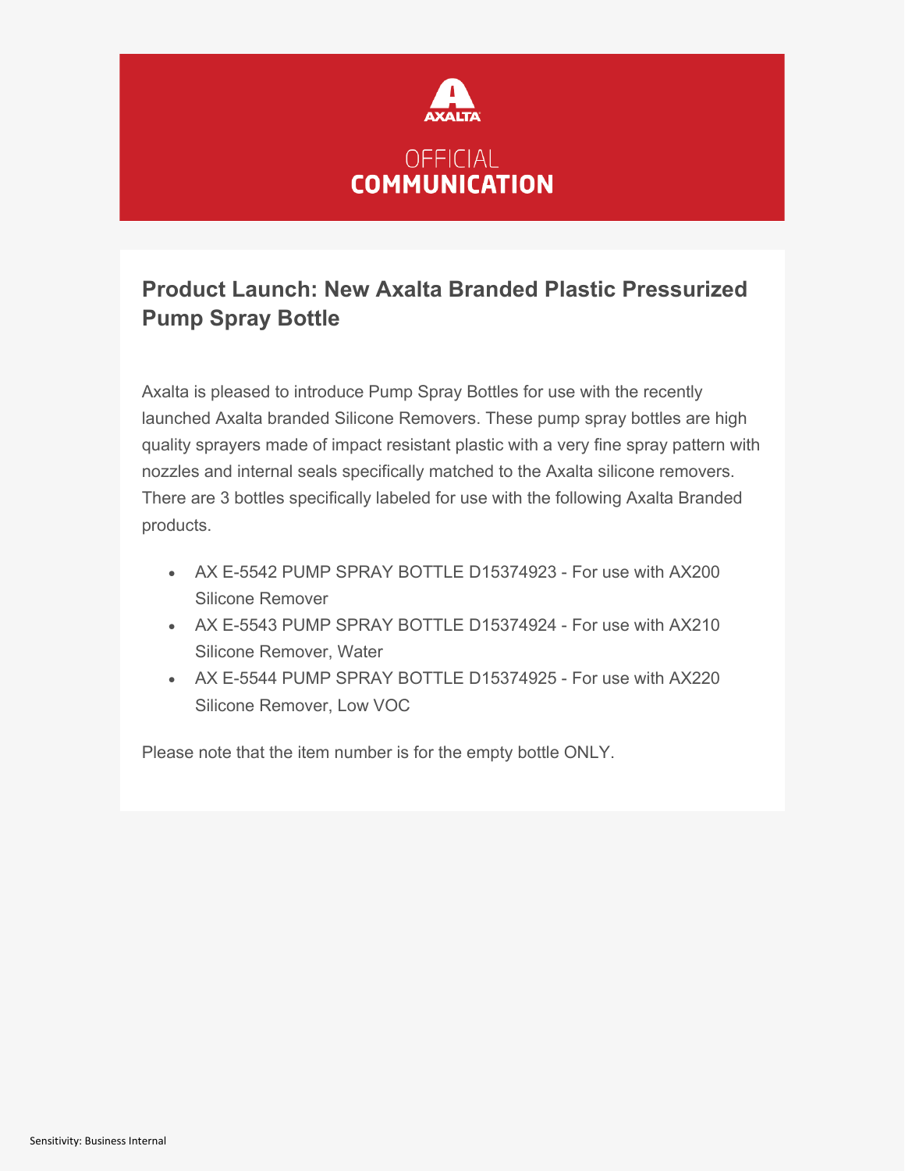

## **Product Launch: New Axalta Branded Plastic Pressurized Pump Spray Bottle**

Axalta is pleased to introduce Pump Spray Bottles for use with the recently launched Axalta branded Silicone Removers. These pump spray bottles are high quality sprayers made of impact resistant plastic with a very fine spray pattern with nozzles and internal seals specifically matched to the Axalta silicone removers. There are 3 bottles specifically labeled for use with the following Axalta Branded products.

- AX E-5542 PUMP SPRAY BOTTLE D15374923 For use with AX200 Silicone Remover
- AX E-5543 PUMP SPRAY BOTTLE D15374924 For use with AX210 Silicone Remover, Water
- AX E-5544 PUMP SPRAY BOTTLE D15374925 For use with AX220 Silicone Remover, Low VOC

Please note that the item number is for the empty bottle ONLY.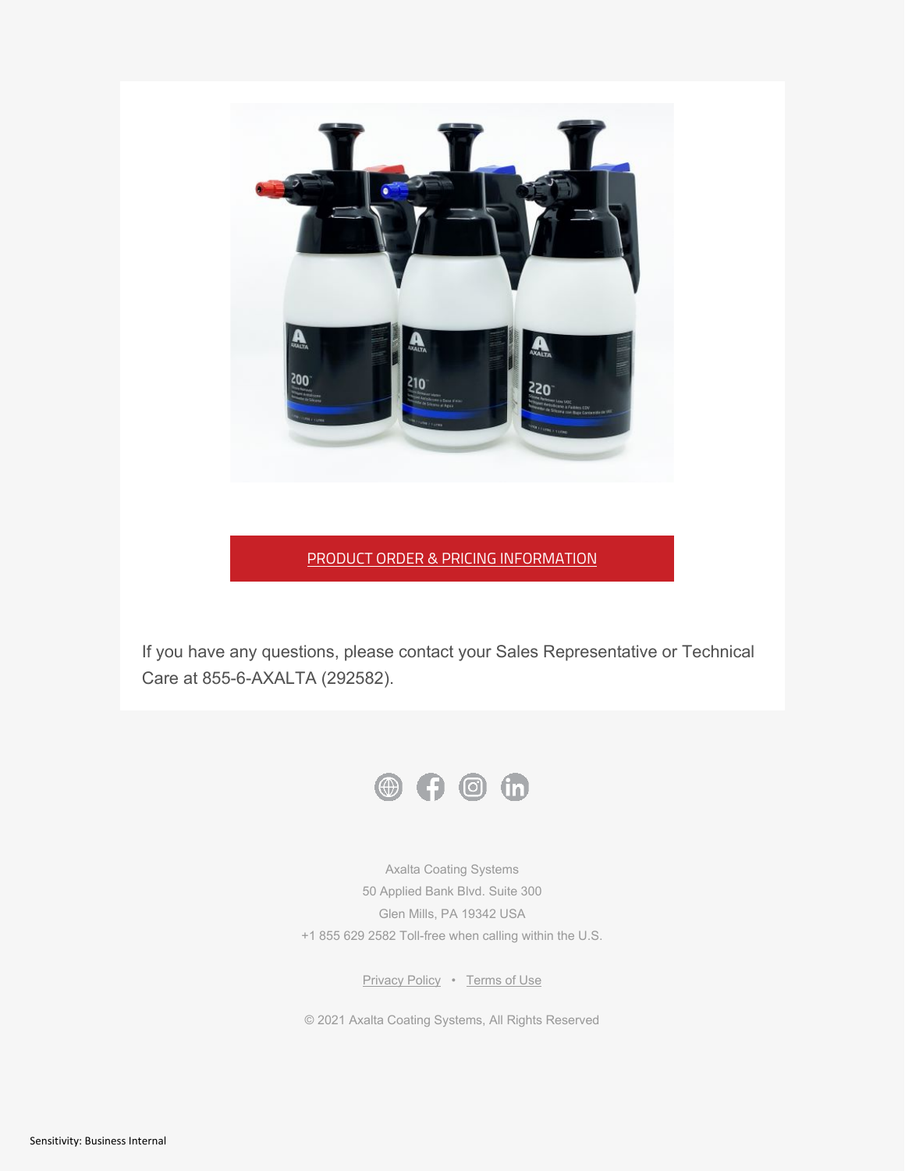

#### PRODUCT ORDER & PRICING INFORMATION

If you have any questions, please contact your Sales Representative or Technical Care at 855-6-AXALTA (292582).



Axalta Coating Systems 50 Applied Bank Blvd. Suite 300 Glen Mills, PA 19342 USA +1 855 629 2582 Toll-free when calling within the U.S.

[Privacy Policy](https://go.pardot.com/e/143041/corporate-en-US-privacy-html/b12w24/619851459?h=vEaP4B2em54YC8Tv8AnVUt8Z_smrJX7OLIW_ga1T6cs) • [Terms of Use](https://go.pardot.com/e/143041/us-en-US-terms-of-use-html/b12w26/619851459?h=vEaP4B2em54YC8Tv8AnVUt8Z_smrJX7OLIW_ga1T6cs)

© 2021 Axalta Coating Systems, All Rights Reserved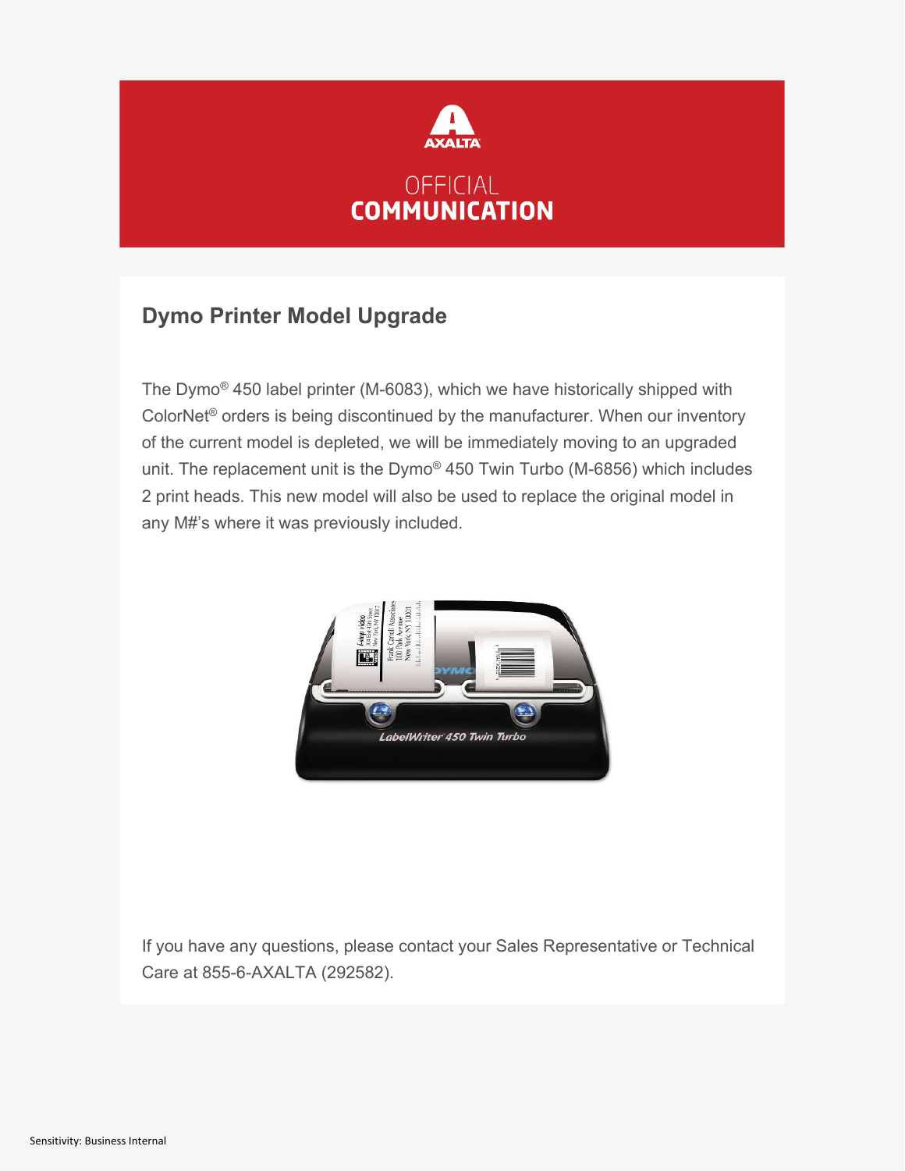

## **Dymo Printer Model Upgrade**

The Dymo® 450 label printer (M-6083), which we have historically shipped with ColorNet® orders is being discontinued by the manufacturer. When our inventory of the current model is depleted, we will be immediately moving to an upgraded unit. The replacement unit is the Dymo® 450 Twin Turbo (M-6856) which includes 2 print heads. This new model will also be used to replace the original model in any M#'s where it was previously included.



If you have any questions, please contact your Sales Representative or Technical Care at 855-6-AXALTA (292582).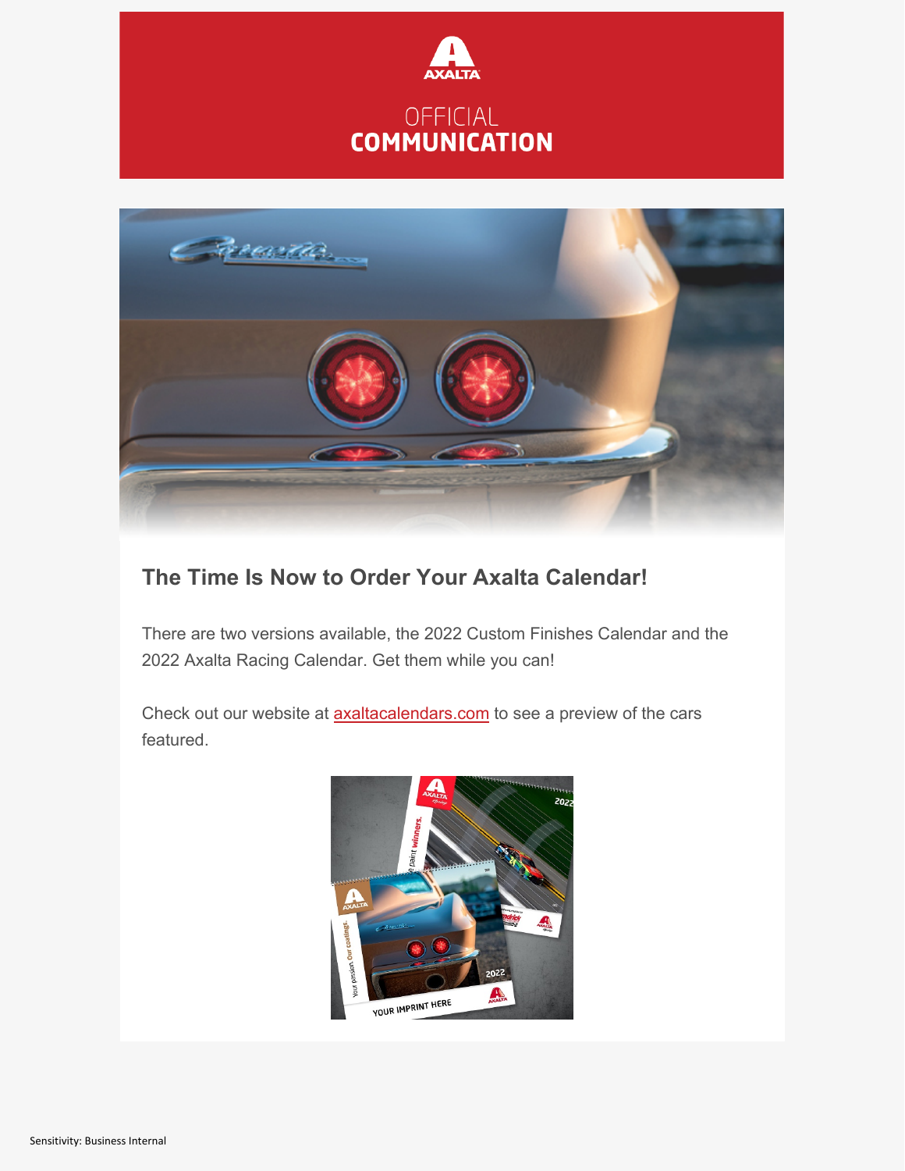



# **The Time Is Now to Order Your Axalta Calendar!**

There are two versions available, the 2022 Custom Finishes Calendar and the 2022 Axalta Racing Calendar. Get them while you can!

Check out our website at **axaltacalendars.com** to see a preview of the cars featured.

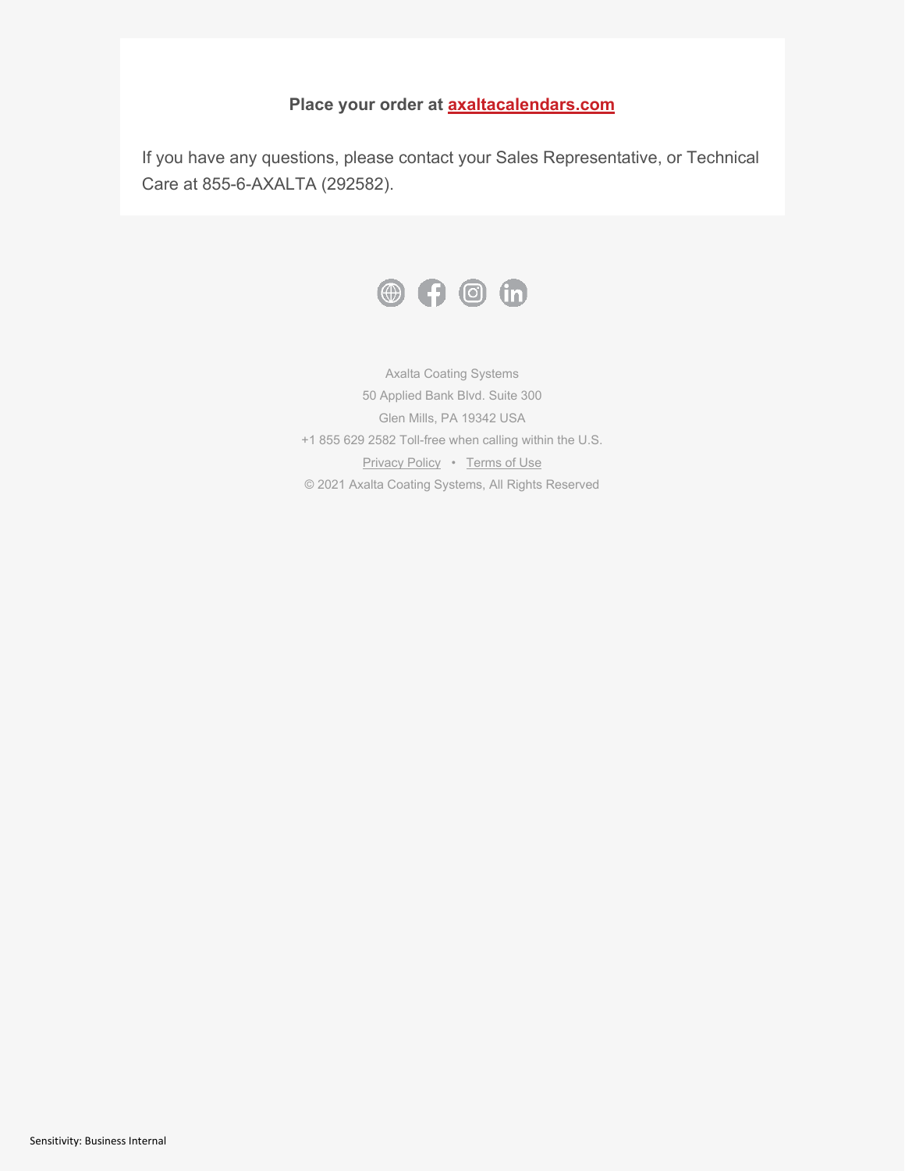### **Place your order at [axaltacalendars.com](https://go.pardot.com/e/143041/2021-11-24/b1bzbb/621679063?h=uZBTulAtWQp3xBqLFZyHiSSbKFeDMrj7wQD3KdvFN-c)**

If you have any questions, please contact your Sales Representative, or Technical Care at 855-6-AXALTA (292582).



Axalta Coating Systems 50 Applied Bank Blvd. Suite 300 Glen Mills, PA 19342 USA +1 855 629 2582 Toll-free when calling within the U.S. [Privacy Policy](https://go.pardot.com/e/143041/corporate-en-US-privacy-html/b1bzbn/621679063?h=uZBTulAtWQp3xBqLFZyHiSSbKFeDMrj7wQD3KdvFN-c) • [Terms of Use](https://go.pardot.com/e/143041/us-en-US-terms-of-use-html/b1bzbq/621679063?h=uZBTulAtWQp3xBqLFZyHiSSbKFeDMrj7wQD3KdvFN-c) © 2021 Axalta Coating Systems, All Rights Reserved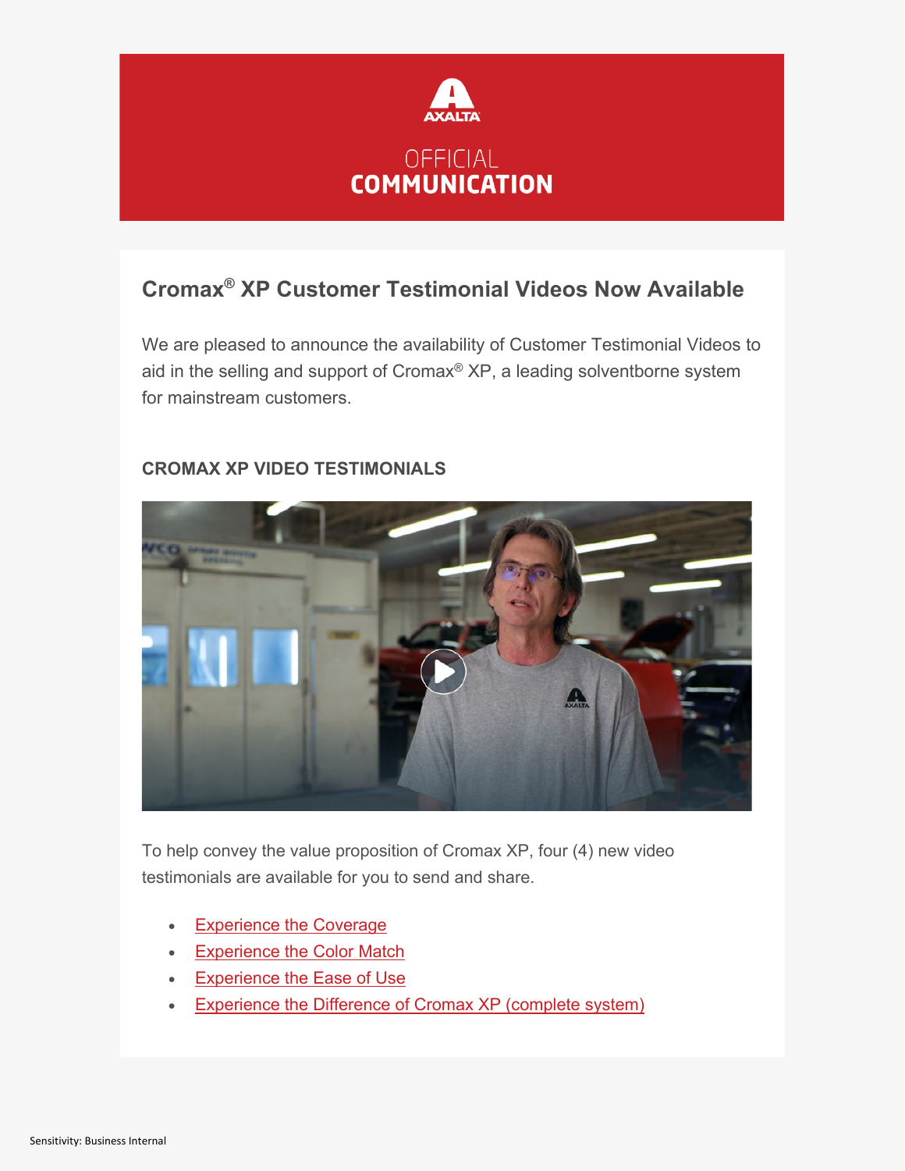

# **Cromax® XP Customer Testimonial Videos Now Available**

We are pleased to announce the availability of Customer Testimonial Videos to aid in the selling and support of Cromax® XP, a leading solventborne system for mainstream customers.



### **CROMAX XP VIDEO TESTIMONIALS**

To help convey the value proposition of Cromax XP, four (4) new video testimonials are available for you to send and share.

- [Experience the Coverage](https://go.pardot.com/e/143041/-detail-html-cid-1152-ctgid-22/b295hn/626513097?h=OrQ06FKuJHfk2jK0JRD2HbTblPN0hf5DdaHDS8zZHcQ)
- [Experience the Color Match](https://go.pardot.com/e/143041/-detail-html-cid-1151-ctgid-22/b295hq/626513097?h=OrQ06FKuJHfk2jK0JRD2HbTblPN0hf5DdaHDS8zZHcQ)
- [Experience the Ease of Use](https://go.pardot.com/e/143041/-detail-html-cid-1153-ctgid-22/b295hs/626513097?h=OrQ06FKuJHfk2jK0JRD2HbTblPN0hf5DdaHDS8zZHcQ)
- [Experience the Difference of Cromax XP \(complete system\)](https://go.pardot.com/e/143041/-detail-html-cid-1154-ctgid-22/b295hv/626513097?h=OrQ06FKuJHfk2jK0JRD2HbTblPN0hf5DdaHDS8zZHcQ)